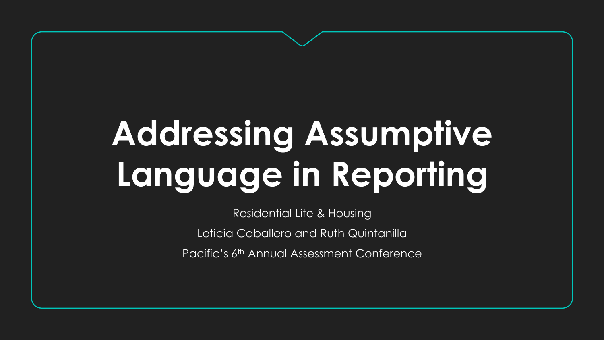# **Addressing Assumptive Language in Reporting**

Residential Life & Housing Leticia Caballero and Ruth Quintanilla Pacific's 6<sup>th</sup> Annual Assessment Conference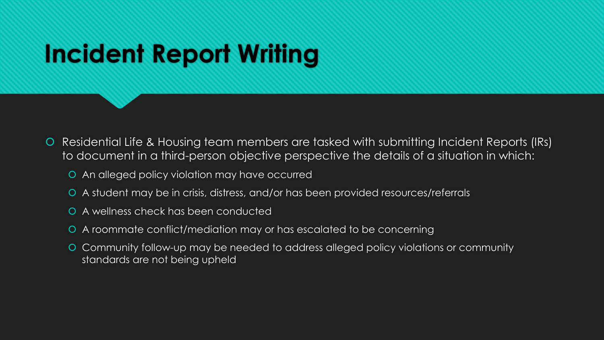# **Incident Report Writing**

- Residential Life & Housing team members are tasked with submitting Incident Reports (IRs) to document in a third-person objective perspective the details of a situation in which:
	- An alleged policy violation may have occurred
	- A student may be in crisis, distress, and/or has been provided resources/referrals
	- A wellness check has been conducted
	- A roommate conflict/mediation may or has escalated to be concerning
	- Community follow-up may be needed to address alleged policy violations or community standards are not being upheld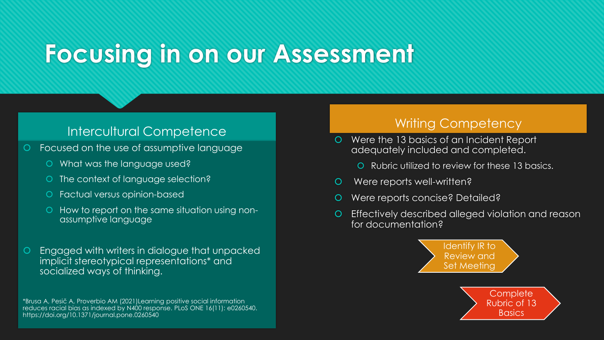# **Focusing in on our Assessment**

## Intercultural Competence **Intercultural Competency**

- Focused on the use of assumptive language
	- What was the language used?
	- O The context of language selection?
	- Factual versus opinion-based
	- How to report on the same situation using nonassumptive language
- Engaged with writers in dialogue that unpacked implicit stereotypical representations\* and socialized ways of thinking.

\*Brusa A, Pesič A, Proverbio AM (2021)Learning positive social information reduces racial bias as indexed by N400 response. PLoS ONE 16(11): e0260540. https://doi.org/10.1371/journal.pone.0260540

- Were the 13 basics of an Incident Report adequately included and completed.
	- Rubric utilized to review for these 13 basics.
- Were reports well-written?
- Were reports concise? Detailed?
- Effectively described alleged violation and reason for documentation?



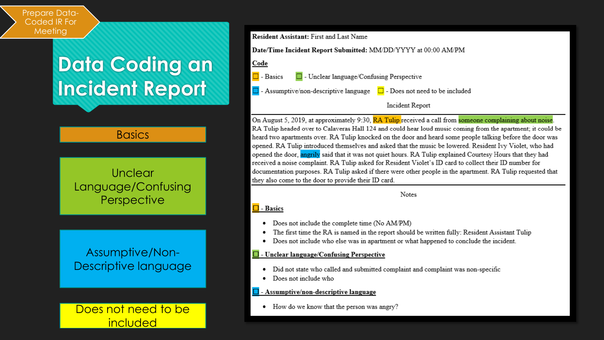#### Prepare Data-Coded IR For Meeting

## **Data Coding an Incident Report**

### **Basics**

### **Unclear** Language/Confusing **Perspective**

### Assumptive/Non-Descriptive language

Does not need to be included

#### Resident Assistant: First and Last Name

Date/Time Incident Report Submitted: MM/DD/YYYY at 00:00 AM/PM

Code

 $\Box$ 

- Basics  $\Box$  - Unclear language/Confusing Perspective
- $\Box$  Assumptive/non-descriptive language  $\Box$  Does not need to be included

Incident Report

On August 5, 2019, at approximately 9:30, **RA Tulip** received a call from someone complaining about noise. RA Tulip headed over to Calaveras Hall 124 and could hear loud music coming from the apartment; it could be heard two apartments over. RA Tulip knocked on the door and heard some people talking before the door was opened. RA Tulip introduced themselves and asked that the music be lowered. Resident Ivy Violet, who had opened the door, angrily said that it was not quiet hours. RA Tulip explained Courtesy Hours that they had received a noise complaint. RA Tulip asked for Resident Violet's ID card to collect their ID number for documentation purposes. RA Tulip asked if there were other people in the apartment. RA Tulip requested that they also come to the door to provide their ID card.

**Notes** 

#### $\Box$  - Basics

- Does not include the complete time (No AM/PM)
- The first time the RA is named in the report should be written fully: Resident Assistant Tulip
- Does not include who else was in apartment or what happened to conclude the incident.

#### **L** - Unclear language/Confusing Perspective

- Did not state who called and submitted complaint and complaint was non-specific
- Does not include who

#### $\Box$  - Assumptive/non-descriptive language

• How do we know that the person was angry?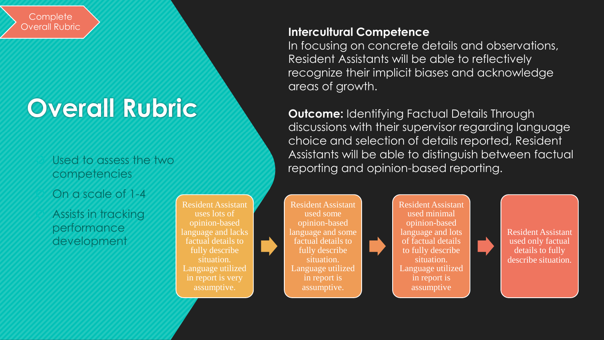**Complete** Overall Rubric

# **Overall Rubric**

### Used to assess the two competencies

On a scale of 1-4

 Assists in tracking performance development

Resident Assistant uses lots of opinion-based language and lacks factual details to fully describe situation. Language utilized in report is very assumptive.

Resident Assistant used some opinion-based language and some factual details to fully describe situation. Language utilized in report is assumptive.

Resident Assistant used minimal opinion-based language and lots of factual details to fully describe situation. Language utilized in report is assumptive

Resident Assistant used only factual details to fully describe situation.

### **Intercultural Competence**

In focusing on concrete details and observations, Resident Assistants will be able to reflectively recognize their implicit biases and acknowledge areas of growth.

**Outcome:** Identifying Factual Details Through discussions with their supervisor regarding language choice and selection of details reported, Resident Assistants will be able to distinguish between factual reporting and opinion-based reporting.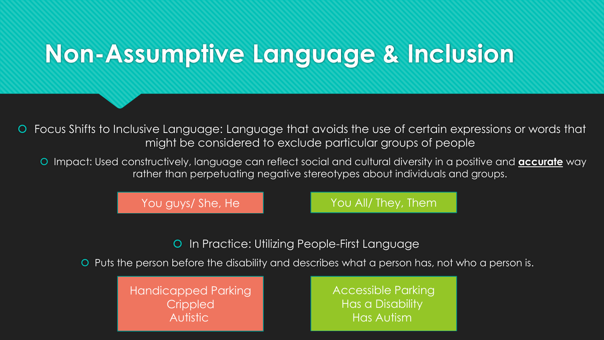# **Non-Assumptive Language & Inclusion**

 Focus Shifts to Inclusive Language: Language that avoids the use of certain expressions or words that might be considered to exclude particular groups of people

 Impact: Used constructively, language can reflect social and cultural diversity in a positive and **accurate** way rather than perpetuating negative stereotypes about individuals and groups.

You guys/ She, He You All/ They, Them

**O** In Practice: Utilizing People-First Language

Puts the person before the disability and describes what a person has, not who a person is.

Handicapped Parking **Crippled** Autistic

Accessible Parking Has a Disability Has Autism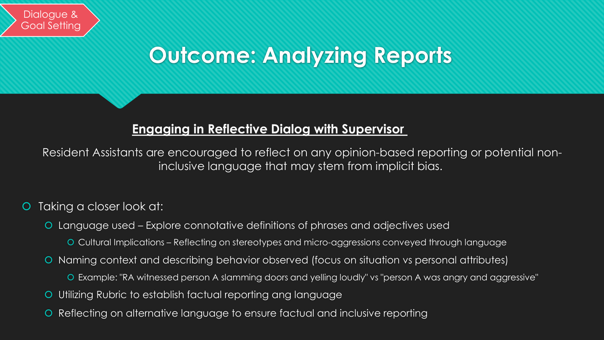# **Outcome: Analyzing Reports**

## **Engaging in Reflective Dialog with Supervisor**

Resident Assistants are encouraged to reflect on any opinion-based reporting or potential noninclusive language that may stem from implicit bias.

### Taking a closer look at:

- Language used Explore connotative definitions of phrases and adjectives used
	- Cultural Implications Reflecting on stereotypes and micro-aggressions conveyed through language
- Naming context and describing behavior observed (focus on situation vs personal attributes)
	- Example: "RA witnessed person A slamming doors and yelling loudly" vs "person A was angry and aggressive"
- Utilizing Rubric to establish factual reporting ang language
- Reflecting on alternative language to ensure factual and inclusive reporting